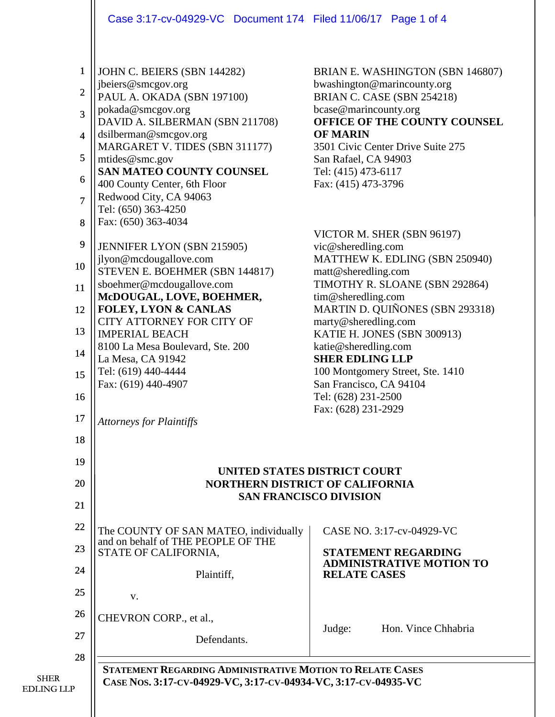Case 3:17-cv-04929-VC Document 174 Filed 11/06/17 Page 1 of 4

| $\mathbf{1}$   | JOHN C. BEIERS (SBN 144282)                                                 | BRIAN E. WASHINGTON (SBN 146807)                            |
|----------------|-----------------------------------------------------------------------------|-------------------------------------------------------------|
| $\overline{c}$ | jbeiers@smcgov.org                                                          | bwashington@marincounty.org<br>BRIAN C. CASE (SBN 254218)   |
| $\overline{3}$ | PAUL A. OKADA (SBN 197100)<br>pokada@smcgov.org                             | bcase@marincounty.org                                       |
|                | DAVID A. SILBERMAN (SBN 211708)                                             | OFFICE OF THE COUNTY COUNSEL                                |
| $\overline{4}$ | dsilberman@smcgov.org<br>MARGARET V. TIDES (SBN 311177)                     | <b>OF MARIN</b><br>3501 Civic Center Drive Suite 275        |
| 5              | mtides@smc.gov                                                              | San Rafael, CA 94903                                        |
| 6              | SAN MATEO COUNTY COUNSEL                                                    | Tel: (415) 473-6117                                         |
|                | 400 County Center, 6th Floor<br>Redwood City, CA 94063                      | Fax: (415) 473-3796                                         |
| $\overline{7}$ | Tel: (650) 363-4250                                                         |                                                             |
| 8              | Fax: (650) 363-4034                                                         |                                                             |
| 9              | JENNIFER LYON (SBN 215905)                                                  | VICTOR M. SHER (SBN 96197)<br>vic@sheredling.com            |
|                | jlyon@mcdougallove.com                                                      | MATTHEW K. EDLING (SBN 250940)                              |
| 10             | STEVEN E. BOEHMER (SBN 144817)                                              | matt@sheredling.com                                         |
| 11             | sboehmer@mcdougallove.com<br>McDOUGAL, LOVE, BOEHMER,                       | TIMOTHY R. SLOANE (SBN 292864)<br>tim@sheredling.com        |
| 12             | <b>FOLEY, LYON &amp; CANLAS</b>                                             | MARTIN D. QUIÑONES (SBN 293318)                             |
| 13             | CITY ATTORNEY FOR CITY OF<br><b>IMPERIAL BEACH</b>                          | marty@sheredling.com                                        |
|                | 8100 La Mesa Boulevard, Ste. 200                                            | KATIE H. JONES (SBN 300913)<br>katie@sheredling.com         |
| 14             | La Mesa, CA 91942                                                           | <b>SHER EDLING LLP</b>                                      |
| 15             | Tel: (619) 440-4444<br>Fax: (619) 440-4907                                  | 100 Montgomery Street, Ste. 1410<br>San Francisco, CA 94104 |
| 16             |                                                                             | Tel: (628) 231-2500                                         |
| 17             |                                                                             | Fax: (628) 231-2929                                         |
|                | <b>Attorneys for Plaintiffs</b>                                             |                                                             |
| 18             |                                                                             |                                                             |
| 19             |                                                                             |                                                             |
| 20             | UNITED STATES DISTRICT COURT<br><b>NORTHERN DISTRICT OF CALIFORNIA</b>      |                                                             |
| 21             | <b>SAN FRANCISCO DIVISION</b>                                               |                                                             |
|                |                                                                             |                                                             |
| 22             | The COUNTY OF SAN MATEO, individually<br>and on behalf of THE PEOPLE OF THE | CASE NO. 3:17-cv-04929-VC                                   |
| 23             | STATE OF CALIFORNIA,                                                        | <b>STATEMENT REGARDING</b>                                  |
| 24             | Plaintiff,                                                                  | <b>ADMINISTRATIVE MOTION TO</b><br><b>RELATE CASES</b>      |
| 25             |                                                                             |                                                             |
|                | V.                                                                          |                                                             |
| 26             | CHEVRON CORP., et al.,                                                      | Hon. Vince Chhabria                                         |
| 27             | Defendants.                                                                 | Judge:                                                      |
| 28             |                                                                             |                                                             |
| <b>SHER</b>    | <b>STATEMENT REGARDING ADMINISTRATIVE MOTION TO RELATE CASES</b>            |                                                             |
| EDLING LLP     | CASE NOS. 3:17-CV-04929-VC, 3:17-CV-04934-VC, 3:17-CV-04935-VC              |                                                             |
|                |                                                                             |                                                             |
|                |                                                                             |                                                             |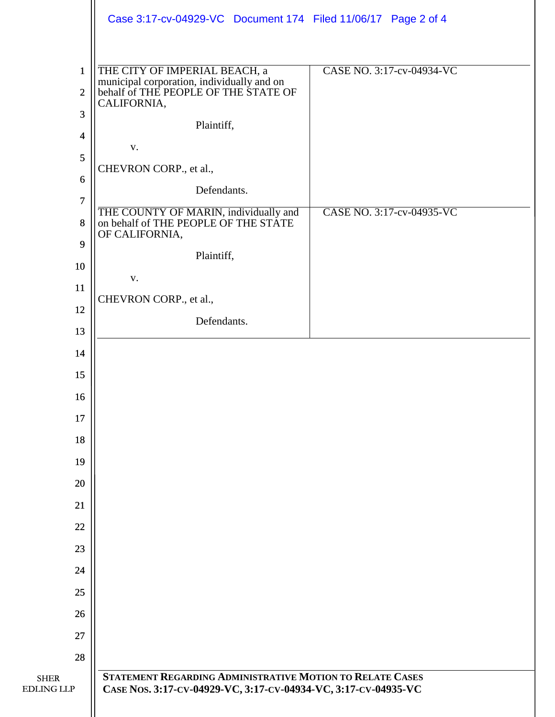|                         | Case 3:17-cv-04929-VC Document 174 Filed 11/06/17 Page 2 of 4                      |                           |
|-------------------------|------------------------------------------------------------------------------------|---------------------------|
|                         |                                                                                    |                           |
| $\mathbf{1}$            | THE CITY OF IMPERIAL BEACH, a                                                      | CASE NO. 3:17-cv-04934-VC |
| $\overline{2}$          | municipal corporation, individually and on<br>behalf of THE PEOPLE OF THE STATE OF |                           |
| $\overline{3}$          | CALIFORNIA,                                                                        |                           |
| $\overline{\mathbf{4}}$ | Plaintiff,                                                                         |                           |
| 5                       | V.                                                                                 |                           |
| $6\,$                   | CHEVRON CORP., et al.,                                                             |                           |
| $\overline{7}$          | Defendants.                                                                        |                           |
| 8                       | THE COUNTY OF MARIN, individually and<br>on behalf of THE PEOPLE OF THE STATE      | CASE NO. 3:17-cv-04935-VC |
|                         | OF CALIFORNIA,                                                                     |                           |
| 9                       | Plaintiff,                                                                         |                           |
| 10                      | V.                                                                                 |                           |
| 11                      | CHEVRON CORP., et al.,                                                             |                           |
| 12                      | Defendants.                                                                        |                           |
| 13                      |                                                                                    |                           |
| 14                      |                                                                                    |                           |
| 15                      |                                                                                    |                           |
| 16                      |                                                                                    |                           |
| 17                      |                                                                                    |                           |
| 18                      |                                                                                    |                           |
| 19                      |                                                                                    |                           |
| 20                      |                                                                                    |                           |
| 21                      |                                                                                    |                           |
| 22                      |                                                                                    |                           |
| 23                      |                                                                                    |                           |
| 24                      |                                                                                    |                           |
| 25                      |                                                                                    |                           |
| 26                      |                                                                                    |                           |
| 27                      |                                                                                    |                           |
| 28                      |                                                                                    |                           |
| <b>SHER</b>             | STATEMENT REGARDING ADMINISTRATIVE MOTION TO RELATE CASES                          |                           |
| <b>EDLING LLP</b>       | CASE NOS. 3:17-CV-04929-VC, 3:17-CV-04934-VC, 3:17-CV-04935-VC                     |                           |
|                         |                                                                                    |                           |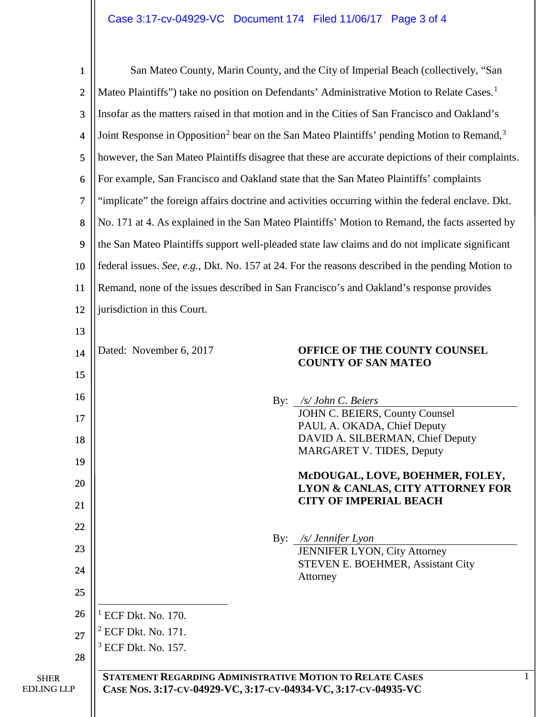<span id="page-2-2"></span><span id="page-2-1"></span><span id="page-2-0"></span>

| $\mathbf{1}$                     | San Mateo County, Marin County, and the City of Imperial Beach (collectively, "San                                                 |  |  |
|----------------------------------|------------------------------------------------------------------------------------------------------------------------------------|--|--|
| $\overline{c}$                   | Mateo Plaintiffs") take no position on Defendants' Administrative Motion to Relate Cases. <sup>1</sup>                             |  |  |
| 3                                | Insofar as the matters raised in that motion and in the Cities of San Francisco and Oakland's                                      |  |  |
| 4                                | Joint Response in Opposition <sup>2</sup> bear on the San Mateo Plaintiffs' pending Motion to Remand, <sup>3</sup>                 |  |  |
| 5                                | however, the San Mateo Plaintiffs disagree that these are accurate depictions of their complaints.                                 |  |  |
| 6                                | For example, San Francisco and Oakland state that the San Mateo Plaintiffs' complaints                                             |  |  |
| 7                                | "implicate" the foreign affairs doctrine and activities occurring within the federal enclave. Dkt.                                 |  |  |
| 8                                | No. 171 at 4. As explained in the San Mateo Plaintiffs' Motion to Remand, the facts asserted by                                    |  |  |
| 9                                | the San Mateo Plaintiffs support well-pleaded state law claims and do not implicate significant                                    |  |  |
| 10                               | federal issues. See, e.g., Dkt. No. 157 at 24. For the reasons described in the pending Motion to                                  |  |  |
| 11                               | Remand, none of the issues described in San Francisco's and Oakland's response provides                                            |  |  |
| 12                               | jurisdiction in this Court.                                                                                                        |  |  |
| 13                               |                                                                                                                                    |  |  |
| 14                               | Dated: November 6, 2017<br>OFFICE OF THE COUNTY COUNSEL<br><b>COUNTY OF SAN MATEO</b>                                              |  |  |
| 15                               |                                                                                                                                    |  |  |
| 16                               | /s/ John C. Beiers<br>By:                                                                                                          |  |  |
| 17                               | JOHN C. BEIERS, County Counsel<br>PAUL A. OKADA, Chief Deputy                                                                      |  |  |
| 18                               | DAVID A. SILBERMAN, Chief Deputy<br><b>MARGARET V. TIDES, Deputy</b>                                                               |  |  |
| 19                               |                                                                                                                                    |  |  |
| 20                               | McDOUGAL, LOVE, BOEHMER, FOLEY,<br>LYON & CANLAS, CITY ATTORNEY FOR                                                                |  |  |
| 21                               | <b>CITY OF IMPERIAL BEACH</b>                                                                                                      |  |  |
| 22                               |                                                                                                                                    |  |  |
| 23                               | By:<br>/s/ Jennifer Lyon<br><b>JENNIFER LYON, City Attorney</b>                                                                    |  |  |
| 24                               | <b>STEVEN E. BOEHMER, Assistant City</b><br>Attorney                                                                               |  |  |
| 25                               |                                                                                                                                    |  |  |
| 26                               | $^1$ ECF Dkt. No. 170.                                                                                                             |  |  |
| 27                               | <sup>2</sup> ECF Dkt. No. 171.                                                                                                     |  |  |
| 28                               | <sup>3</sup> ECF Dkt. No. 157.                                                                                                     |  |  |
| <b>SHER</b><br><b>EDLING LLP</b> | <b>STATEMENT REGARDING ADMINISTRATIVE MOTION TO RELATE CASES</b><br>CASE NOS. 3:17-CV-04929-VC, 3:17-CV-04934-VC, 3:17-CV-04935-VC |  |  |
|                                  |                                                                                                                                    |  |  |